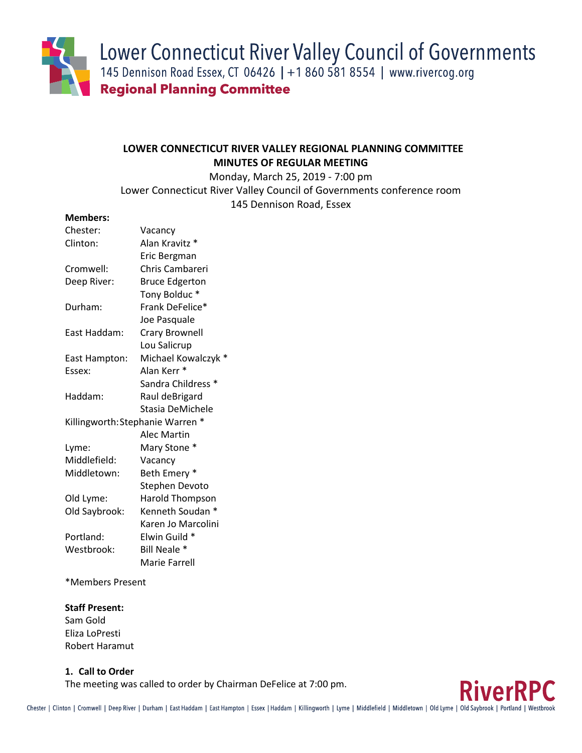Lower Connecticut River Valley Council of Governments

145 Dennison Road Essex, CT 06426 | +1 860 581 8554 | www.rivercog.org **Regional Planning Committee** 

# **LOWER CONNECTICUT RIVER VALLEY REGIONAL PLANNING COMMITTEE MINUTES OF REGULAR MEETING**

Monday, March 25, 2019 - 7:00 pm Lower Connecticut River Valley Council of Governments conference room 145 Dennison Road, Essex

# **Members:**

| Chester:      | Vacancy                          |
|---------------|----------------------------------|
| Clinton:      | Alan Kravitz *                   |
|               | Eric Bergman                     |
| Cromwell:     | Chris Cambareri                  |
| Deep River:   | <b>Bruce Edgerton</b>            |
|               | Tony Bolduc*                     |
| Durham:       | Frank DeFelice*                  |
|               | Joe Pasquale                     |
| East Haddam:  | <b>Crary Brownell</b>            |
|               | Lou Salicrup                     |
| East Hampton: | Michael Kowalczyk                |
| Essex:        | Alan Kerr <sup>*</sup>           |
|               | Sandra Childress *               |
| Haddam:       | Raul deBrigard                   |
|               | Stasia DeMichele                 |
|               | Killingworth: Stephanie Warren * |
|               | <b>Alec Martin</b>               |
| Lyme:         | Mary Stone *                     |
| Middlefield:  | Vacancy                          |
| Middletown:   | Beth Emery *                     |
|               | Stephen Devoto                   |
| Old Lyme:     | <b>Harold Thompson</b>           |
| Old Saybrook: | Kenneth Soudan                   |
|               | Karen Jo Marcolini               |
| Portland:     | Elwin Guild *                    |
| Westbrook:    | Bill Neale *                     |
|               | Marie Farrell                    |

\*Members Present

# **Staff Present:**

Sam Gold Eliza LoPresti Robert Haramut

# **1. Call to Order**

The meeting was called to order by Chairman DeFelice at 7:00 pm.

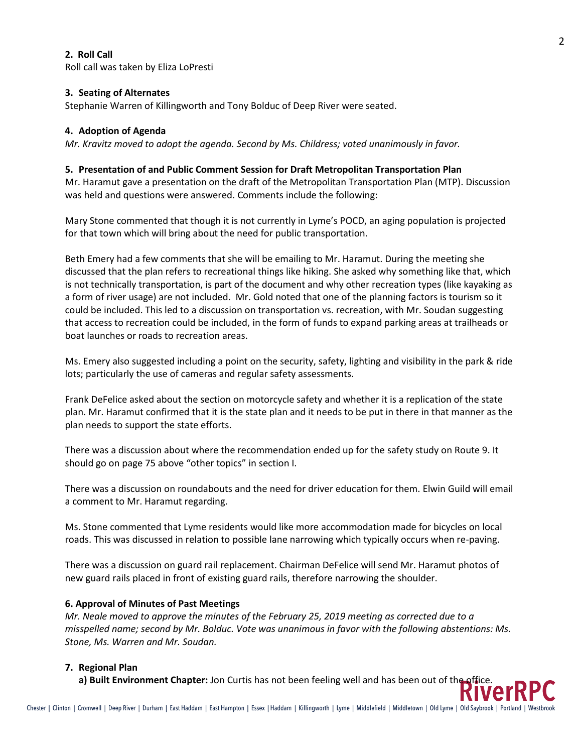# **2. Roll Call**

Roll call was taken by Eliza LoPresti

#### **3. Seating of Alternates**

Stephanie Warren of Killingworth and Tony Bolduc of Deep River were seated.

### **4. Adoption of Agenda**

*Mr. Kravitz moved to adopt the agenda. Second by Ms. Childress; voted unanimously in favor.*

### **5. Presentation of and Public Comment Session for Draft Metropolitan Transportation Plan**

Mr. Haramut gave a presentation on the draft of the Metropolitan Transportation Plan (MTP). Discussion was held and questions were answered. Comments include the following:

Mary Stone commented that though it is not currently in Lyme's POCD, an aging population is projected for that town which will bring about the need for public transportation.

Beth Emery had a few comments that she will be emailing to Mr. Haramut. During the meeting she discussed that the plan refers to recreational things like hiking. She asked why something like that, which is not technically transportation, is part of the document and why other recreation types (like kayaking as a form of river usage) are not included. Mr. Gold noted that one of the planning factors is tourism so it could be included. This led to a discussion on transportation vs. recreation, with Mr. Soudan suggesting that access to recreation could be included, in the form of funds to expand parking areas at trailheads or boat launches or roads to recreation areas.

Ms. Emery also suggested including a point on the security, safety, lighting and visibility in the park & ride lots; particularly the use of cameras and regular safety assessments.

Frank DeFelice asked about the section on motorcycle safety and whether it is a replication of the state plan. Mr. Haramut confirmed that it is the state plan and it needs to be put in there in that manner as the plan needs to support the state efforts.

There was a discussion about where the recommendation ended up for the safety study on Route 9. It should go on page 75 above "other topics" in section I.

There was a discussion on roundabouts and the need for driver education for them. Elwin Guild will email a comment to Mr. Haramut regarding.

Ms. Stone commented that Lyme residents would like more accommodation made for bicycles on local roads. This was discussed in relation to possible lane narrowing which typically occurs when re-paving.

There was a discussion on guard rail replacement. Chairman DeFelice will send Mr. Haramut photos of new guard rails placed in front of existing guard rails, therefore narrowing the shoulder.

# **6. Approval of Minutes of Past Meetings**

*Mr. Neale moved to approve the minutes of the February 25, 2019 meeting as corrected due to a misspelled name; second by Mr. Bolduc. Vote was unanimous in favor with the following abstentions: Ms. Stone, Ms. Warren and Mr. Soudan.*

#### **7. Regional Plan**

**a) Built Environment Chapter:** Jon Curtis has not been feeling well and has been out of the office.